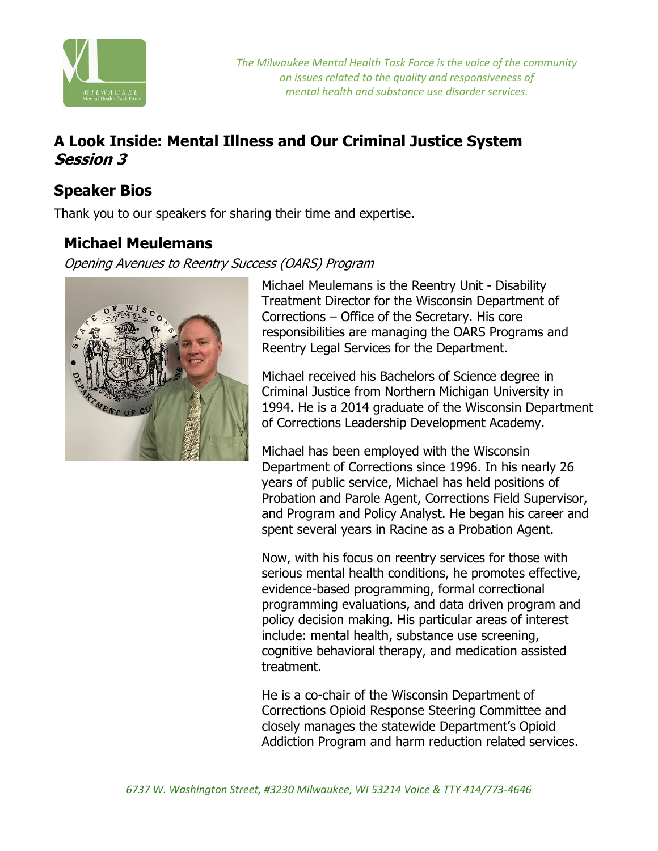

*The Milwaukee Mental Health Task Force is the voice of the community on issues related to the quality and responsiveness of mental health and substance use disorder services.*

## **A Look Inside: Mental Illness and Our Criminal Justice System Session 3**

### **Speaker Bios**

Thank you to our speakers for sharing their time and expertise.

### **Michael Meulemans**

Opening Avenues to Reentry Success (OARS) Program



Michael Meulemans is the Reentry Unit - Disability Treatment Director for the Wisconsin Department of Corrections – Office of the Secretary. His core responsibilities are managing the OARS Programs and Reentry Legal Services for the Department.

Michael received his Bachelors of Science degree in Criminal Justice from Northern Michigan University in 1994. He is a 2014 graduate of the Wisconsin Department of Corrections Leadership Development Academy.

Michael has been employed with the Wisconsin Department of Corrections since 1996. In his nearly 26 years of public service, Michael has held positions of Probation and Parole Agent, Corrections Field Supervisor, and Program and Policy Analyst. He began his career and spent several years in Racine as a Probation Agent.

Now, with his focus on reentry services for those with serious mental health conditions, he promotes effective, evidence-based programming, formal correctional programming evaluations, and data driven program and policy decision making. His particular areas of interest include: mental health, substance use screening, cognitive behavioral therapy, and medication assisted treatment.

He is a co-chair of the Wisconsin Department of Corrections Opioid Response Steering Committee and closely manages the statewide Department's Opioid Addiction Program and harm reduction related services.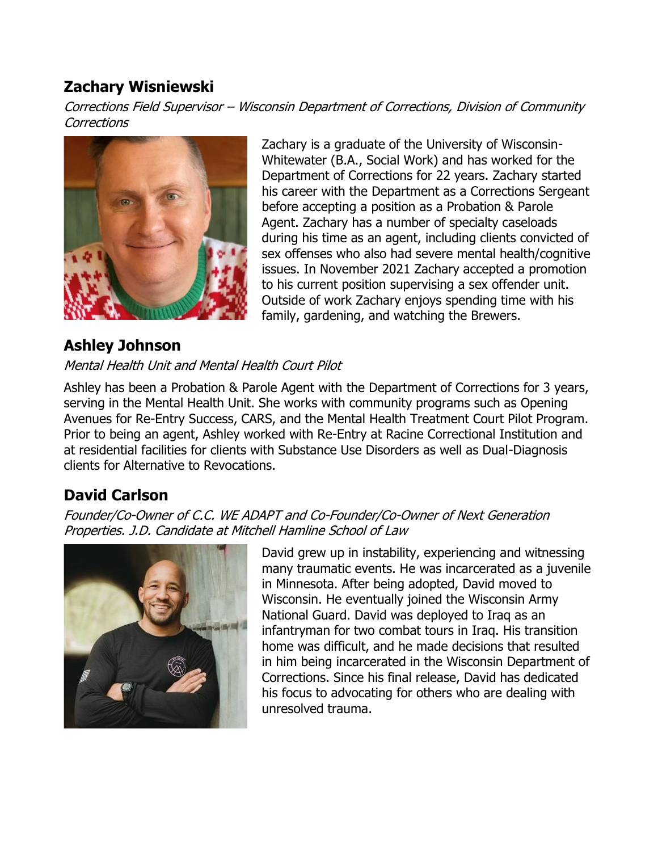## **Zachary Wisniewski**

Corrections Field Supervisor – Wisconsin Department of Corrections, Division of Community **Corrections** 



### **Ashley Johnson**

Mental Health Unit and Mental Health Court Pilot

Whitewater (B.A., Social Work) and has worked for the Department of Corrections for 22 years. Zachary started his career with the Department as a Corrections Sergeant before accepting a position as a Probation & Parole Agent. Zachary has a number of specialty caseloads during his time as an agent, including clients convicted of sex offenses who also had severe mental health/cognitive issues. In November 2021 Zachary accepted a promotion to his current position supervising a sex offender unit. Outside of work Zachary enjoys spending time with his family, gardening, and watching the Brewers.

Zachary is a graduate of the University of Wisconsin-

Ashley has been a Probation & Parole Agent with the Department of Corrections for 3 years, serving in the Mental Health Unit. She works with community programs such as Opening Avenues for Re-Entry Success, CARS, and the Mental Health Treatment Court Pilot Program. Prior to being an agent, Ashley worked with Re-Entry at Racine Correctional Institution and at residential facilities for clients with Substance Use Disorders as well as Dual-Diagnosis clients for Alternative to Revocations.

## **David Carlson**

Founder/Co-Owner of C.C. WE ADAPT and Co-Founder/Co-Owner of Next Generation Properties. J.D. Candidate at Mitchell Hamline School of Law



David grew up in instability, experiencing and witnessing many traumatic events. He was incarcerated as a juvenile in Minnesota. After being adopted, David moved to Wisconsin. He eventually joined the Wisconsin Army National Guard. David was deployed to Iraq as an infantryman for two combat tours in Iraq. His transition home was difficult, and he made decisions that resulted in him being incarcerated in the Wisconsin Department of Corrections. Since his final release, David has dedicated his focus to advocating for others who are dealing with unresolved trauma.